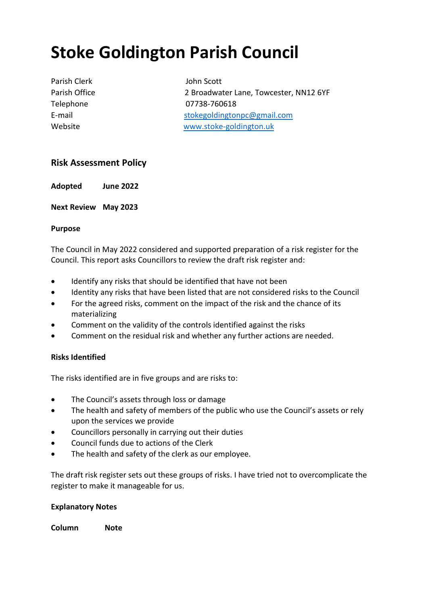# **Stoke Goldington Parish Council**

Parish Clerk **John Scott** 

Parish Office 2 Broadwater Lane, Towcester, NN12 6YF Telephone 07738-760618 E-mail stokegoldingtonpc@gmail.com Website [www.stoke-goldington.uk](http://www.stoke-goldington.uk/)

## **Risk Assessment Policy**

**Adopted June 2022**

**Next Review May 2023**

### **Purpose**

The Council in May 2022 considered and supported preparation of a risk register for the Council. This report asks Councillors to review the draft risk register and:

- Identify any risks that should be identified that have not been
- Identity any risks that have been listed that are not considered risks to the Council
- For the agreed risks, comment on the impact of the risk and the chance of its materializing
- Comment on the validity of the controls identified against the risks
- Comment on the residual risk and whether any further actions are needed.

### **Risks Identified**

The risks identified are in five groups and are risks to:

- The Council's assets through loss or damage
- The health and safety of members of the public who use the Council's assets or rely upon the services we provide
- Councillors personally in carrying out their duties
- Council funds due to actions of the Clerk
- The health and safety of the clerk as our employee.

The draft risk register sets out these groups of risks. I have tried not to overcomplicate the register to make it manageable for us.

### **Explanatory Notes**

**Column Note**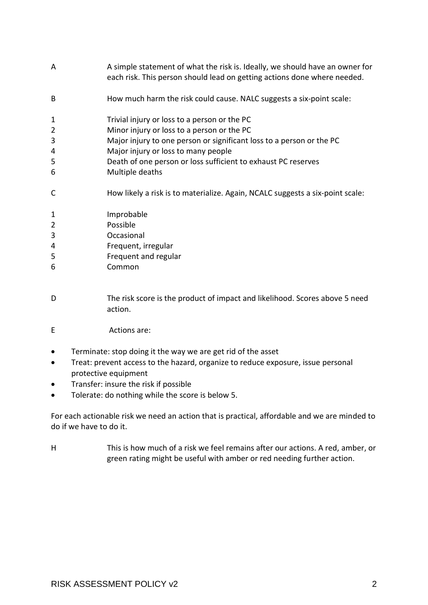| A              | A simple statement of what the risk is. Ideally, we should have an owner for<br>each risk. This person should lead on getting actions done where needed. |
|----------------|----------------------------------------------------------------------------------------------------------------------------------------------------------|
| B              | How much harm the risk could cause. NALC suggests a six-point scale:                                                                                     |
| $\mathbf{1}$   | Trivial injury or loss to a person or the PC                                                                                                             |
| $\overline{2}$ | Minor injury or loss to a person or the PC                                                                                                               |
| 3              | Major injury to one person or significant loss to a person or the PC                                                                                     |
| 4              | Major injury or loss to many people                                                                                                                      |
| 5              | Death of one person or loss sufficient to exhaust PC reserves                                                                                            |
| 6              | Multiple deaths                                                                                                                                          |
| C              | How likely a risk is to materialize. Again, NCALC suggests a six-point scale:                                                                            |
| 1              | Improbable                                                                                                                                               |
| $\overline{2}$ | Possible                                                                                                                                                 |
| 3              | Occasional                                                                                                                                               |
| 4              | Frequent, irregular                                                                                                                                      |
| 5              | Frequent and regular                                                                                                                                     |
| 6              | Common                                                                                                                                                   |
|                |                                                                                                                                                          |

- D The risk score is the product of impact and likelihood. Scores above 5 need action.
- E Actions are:
- Terminate: stop doing it the way we are get rid of the asset
- Treat: prevent access to the hazard, organize to reduce exposure, issue personal protective equipment
- Transfer: insure the risk if possible
- Tolerate: do nothing while the score is below 5.

For each actionable risk we need an action that is practical, affordable and we are minded to do if we have to do it.

H This is how much of a risk we feel remains after our actions. A red, amber, or green rating might be useful with amber or red needing further action.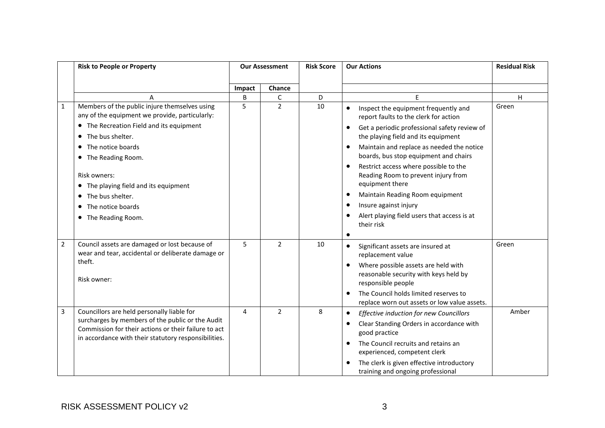|   | <b>Risk to People or Property</b>                                                                                                                                                                              |        | <b>Our Assessment</b> |    | <b>Our Actions</b>                                                                                                                                                                                    | <b>Residual Risk</b> |
|---|----------------------------------------------------------------------------------------------------------------------------------------------------------------------------------------------------------------|--------|-----------------------|----|-------------------------------------------------------------------------------------------------------------------------------------------------------------------------------------------------------|----------------------|
|   |                                                                                                                                                                                                                | Impact | Chance                |    |                                                                                                                                                                                                       |                      |
|   | A                                                                                                                                                                                                              | B      | C                     | D  | F                                                                                                                                                                                                     | H                    |
| 1 | Members of the public injure themselves using<br>any of the equipment we provide, particularly:                                                                                                                | 5      | $\overline{2}$        | 10 | Inspect the equipment frequently and<br>$\bullet$<br>report faults to the clerk for action                                                                                                            | Green                |
|   | • The Recreation Field and its equipment<br>The bus shelter.<br>$\bullet$                                                                                                                                      |        |                       |    | Get a periodic professional safety review of<br>the playing field and its equipment                                                                                                                   |                      |
|   | • The notice boards<br>• The Reading Room.                                                                                                                                                                     |        |                       |    | Maintain and replace as needed the notice<br>$\bullet$<br>boards, bus stop equipment and chairs                                                                                                       |                      |
|   | Risk owners:<br>• The playing field and its equipment                                                                                                                                                          |        |                       |    | Restrict access where possible to the<br>$\bullet$<br>Reading Room to prevent injury from<br>equipment there                                                                                          |                      |
|   | • The bus shelter.                                                                                                                                                                                             |        |                       |    | Maintain Reading Room equipment                                                                                                                                                                       |                      |
|   | The notice boards                                                                                                                                                                                              |        |                       |    | Insure against injury<br>$\bullet$                                                                                                                                                                    |                      |
|   | • The Reading Room.                                                                                                                                                                                            |        |                       |    | Alert playing field users that access is at<br>$\bullet$<br>their risk                                                                                                                                |                      |
|   |                                                                                                                                                                                                                |        |                       |    | $\bullet$                                                                                                                                                                                             |                      |
| 2 | Council assets are damaged or lost because of<br>wear and tear, accidental or deliberate damage or                                                                                                             | 5      | $\overline{2}$        | 10 | Significant assets are insured at<br>$\bullet$<br>replacement value                                                                                                                                   | Green                |
|   | theft.<br>Risk owner:                                                                                                                                                                                          |        |                       |    | Where possible assets are held with<br>$\bullet$<br>reasonable security with keys held by<br>responsible people                                                                                       |                      |
|   |                                                                                                                                                                                                                |        |                       |    | The Council holds limited reserves to<br>$\bullet$<br>replace worn out assets or low value assets.                                                                                                    |                      |
| 3 | Councillors are held personally liable for<br>surcharges by members of the public or the Audit<br>Commission for their actions or their failure to act<br>in accordance with their statutory responsibilities. | 4      | $\overline{2}$        | 8  | Effective induction for new Councillors<br>$\bullet$<br>Clear Standing Orders in accordance with<br>good practice<br>The Council recruits and retains an<br>$\bullet$<br>experienced, competent clerk | Amber                |
|   |                                                                                                                                                                                                                |        |                       |    | The clerk is given effective introductory<br>training and ongoing professional                                                                                                                        |                      |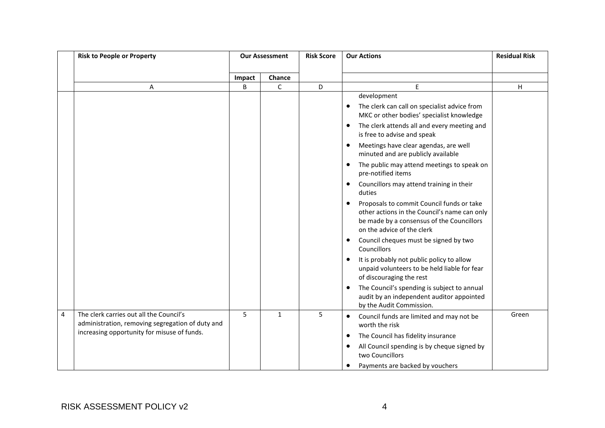|   | <b>Risk to People or Property</b>                                                           |        | <b>Our Assessment</b> |   | <b>Our Actions</b>                                                                                                                                                                | <b>Residual Risk</b> |
|---|---------------------------------------------------------------------------------------------|--------|-----------------------|---|-----------------------------------------------------------------------------------------------------------------------------------------------------------------------------------|----------------------|
|   |                                                                                             |        |                       |   |                                                                                                                                                                                   |                      |
|   |                                                                                             | Impact | Chance                |   |                                                                                                                                                                                   |                      |
|   | A                                                                                           | B      | $\mathsf{C}$          | D | E<br>development                                                                                                                                                                  | H                    |
|   |                                                                                             |        |                       |   | The clerk can call on specialist advice from<br>$\bullet$<br>MKC or other bodies' specialist knowledge                                                                            |                      |
|   |                                                                                             |        |                       |   | The clerk attends all and every meeting and<br>$\bullet$<br>is free to advise and speak                                                                                           |                      |
|   |                                                                                             |        |                       |   | Meetings have clear agendas, are well<br>$\bullet$<br>minuted and are publicly available                                                                                          |                      |
|   |                                                                                             |        |                       |   | The public may attend meetings to speak on<br>pre-notified items                                                                                                                  |                      |
|   |                                                                                             |        |                       |   | Councillors may attend training in their<br>$\bullet$<br>duties                                                                                                                   |                      |
|   |                                                                                             |        |                       |   | Proposals to commit Council funds or take<br>$\bullet$<br>other actions in the Council's name can only<br>be made by a consensus of the Councillors<br>on the advice of the clerk |                      |
|   |                                                                                             |        |                       |   | Council cheques must be signed by two<br>Councillors                                                                                                                              |                      |
|   |                                                                                             |        |                       |   | It is probably not public policy to allow<br>$\bullet$<br>unpaid volunteers to be held liable for fear<br>of discouraging the rest                                                |                      |
|   |                                                                                             |        |                       |   | The Council's spending is subject to annual<br>$\bullet$<br>audit by an independent auditor appointed<br>by the Audit Commission.                                                 |                      |
| 4 | The clerk carries out all the Council's<br>administration, removing segregation of duty and | 5      | $\mathbf{1}$          | 5 | Council funds are limited and may not be<br>$\bullet$<br>worth the risk                                                                                                           | Green                |
|   | increasing opportunity for misuse of funds.                                                 |        |                       |   | The Council has fidelity insurance                                                                                                                                                |                      |
|   |                                                                                             |        |                       |   | All Council spending is by cheque signed by<br>two Councillors                                                                                                                    |                      |
|   |                                                                                             |        |                       |   | Payments are backed by vouchers                                                                                                                                                   |                      |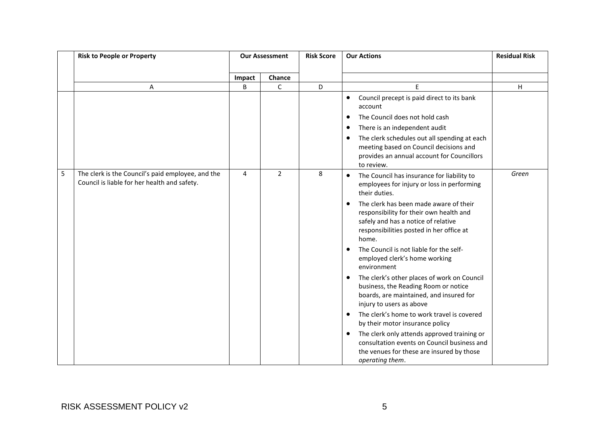|   | <b>Risk to People or Property</b>                                                                 |        | <b>Our Assessment</b> |   | <b>Our Actions</b>                                                                                                                                                                                                                                                                                                                                                                                                                                                                                                                                                                                                                                                                                                                                                                                                                                                               | <b>Residual Risk</b> |
|---|---------------------------------------------------------------------------------------------------|--------|-----------------------|---|----------------------------------------------------------------------------------------------------------------------------------------------------------------------------------------------------------------------------------------------------------------------------------------------------------------------------------------------------------------------------------------------------------------------------------------------------------------------------------------------------------------------------------------------------------------------------------------------------------------------------------------------------------------------------------------------------------------------------------------------------------------------------------------------------------------------------------------------------------------------------------|----------------------|
|   |                                                                                                   | Impact | Chance                |   |                                                                                                                                                                                                                                                                                                                                                                                                                                                                                                                                                                                                                                                                                                                                                                                                                                                                                  |                      |
|   | Α                                                                                                 | B      | $\mathsf C$           | D | E                                                                                                                                                                                                                                                                                                                                                                                                                                                                                                                                                                                                                                                                                                                                                                                                                                                                                | H                    |
|   |                                                                                                   |        |                       |   | Council precept is paid direct to its bank<br>$\bullet$<br>account<br>The Council does not hold cash<br>٠<br>There is an independent audit<br>$\bullet$<br>The clerk schedules out all spending at each<br>$\bullet$<br>meeting based on Council decisions and<br>provides an annual account for Councillors<br>to review.                                                                                                                                                                                                                                                                                                                                                                                                                                                                                                                                                       |                      |
| 5 | The clerk is the Council's paid employee, and the<br>Council is liable for her health and safety. | 4      | $\overline{2}$        | 8 | The Council has insurance for liability to<br>$\bullet$<br>employees for injury or loss in performing<br>their duties.<br>The clerk has been made aware of their<br>$\bullet$<br>responsibility for their own health and<br>safely and has a notice of relative<br>responsibilities posted in her office at<br>home.<br>The Council is not liable for the self-<br>$\bullet$<br>employed clerk's home working<br>environment<br>The clerk's other places of work on Council<br>$\bullet$<br>business, the Reading Room or notice<br>boards, are maintained, and insured for<br>injury to users as above<br>The clerk's home to work travel is covered<br>$\bullet$<br>by their motor insurance policy<br>The clerk only attends approved training or<br>$\bullet$<br>consultation events on Council business and<br>the venues for these are insured by those<br>operating them. | Green                |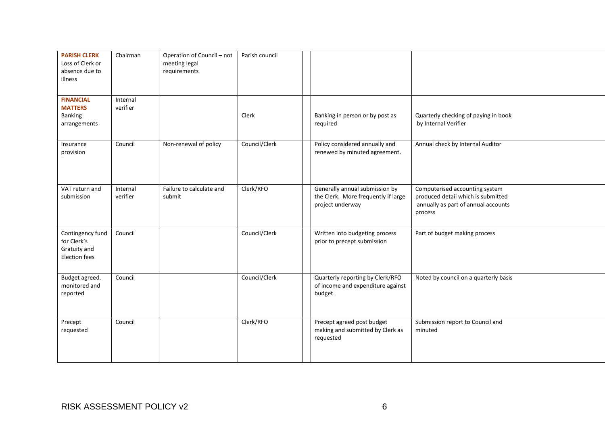| <b>PARISH CLERK</b><br>Loss of Clerk or<br>absence due to<br>illness    | Chairman             | Operation of Council - not<br>meeting legal<br>requirements | Parish council |                                                                                           |                                                                                                                        |
|-------------------------------------------------------------------------|----------------------|-------------------------------------------------------------|----------------|-------------------------------------------------------------------------------------------|------------------------------------------------------------------------------------------------------------------------|
| <b>FINANCIAL</b><br><b>MATTERS</b><br><b>Banking</b><br>arrangements    | Internal<br>verifier |                                                             | Clerk          | Banking in person or by post as<br>required                                               | Quarterly checking of paying in book<br>by Internal Verifier                                                           |
| Insurance<br>provision                                                  | Council              | Non-renewal of policy                                       | Council/Clerk  | Policy considered annually and<br>renewed by minuted agreement.                           | Annual check by Internal Auditor                                                                                       |
| VAT return and<br>submission                                            | Internal<br>verifier | Failure to calculate and<br>submit                          | Clerk/RFO      | Generally annual submission by<br>the Clerk. More frequently if large<br>project underway | Computerised accounting system<br>produced detail which is submitted<br>annually as part of annual accounts<br>process |
| Contingency fund<br>for Clerk's<br>Gratuity and<br><b>Election fees</b> | Council              |                                                             | Council/Clerk  | Written into budgeting process<br>prior to precept submission                             | Part of budget making process                                                                                          |
| Budget agreed.<br>monitored and<br>reported                             | Council              |                                                             | Council/Clerk  | Quarterly reporting by Clerk/RFO<br>of income and expenditure against<br>budget           | Noted by council on a quarterly basis                                                                                  |
| Precept<br>requested                                                    | Council              |                                                             | Clerk/RFO      | Precept agreed post budget<br>making and submitted by Clerk as<br>requested               | Submission report to Council and<br>minuted                                                                            |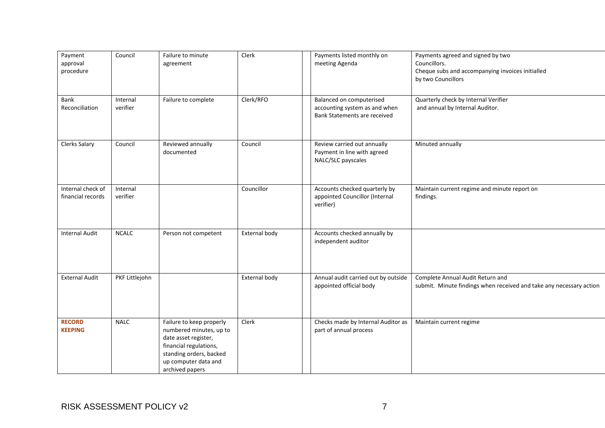| Payment<br>approval<br>procedure       | Council              | Failure to minute<br>agreement                                                                                                                                              | Clerk         | Payments listed monthly on<br>meeting Agenda                                                     | Payments agreed and signed by two<br>Councillors.<br>Cheque subs and accompanying invoices initialled<br>by two Councillors |
|----------------------------------------|----------------------|-----------------------------------------------------------------------------------------------------------------------------------------------------------------------------|---------------|--------------------------------------------------------------------------------------------------|-----------------------------------------------------------------------------------------------------------------------------|
| Bank<br>Reconciliation                 | Internal<br>verifier | Failure to complete                                                                                                                                                         | Clerk/RFO     | Balanced on computerised<br>accounting system as and when<br><b>Bank Statements are received</b> | Quarterly check by Internal Verifier<br>and annual by Internal Auditor.                                                     |
| <b>Clerks Salary</b>                   | Council              | Reviewed annually<br>documented                                                                                                                                             | Council       | Review carried out annually<br>Payment in line with agreed<br>NALC/SLC payscales                 | Minuted annually                                                                                                            |
| Internal check of<br>financial records | Internal<br>verifier |                                                                                                                                                                             | Councillor    | Accounts checked quarterly by<br>appointed Councillor (Internal<br>verifier)                     | Maintain current regime and minute report on<br>findings.                                                                   |
| <b>Internal Audit</b>                  | <b>NCALC</b>         | Person not competent                                                                                                                                                        | External body | Accounts checked annually by<br>independent auditor                                              |                                                                                                                             |
| <b>External Audit</b>                  | PKF Littlejohn       |                                                                                                                                                                             | External body | Annual audit carried out by outside<br>appointed official body                                   | Complete Annual Audit Return and<br>submit. Minute findings when received and take any necessary action                     |
| <b>RECORD</b><br><b>KEEPING</b>        | <b>NALC</b>          | Failure to keep properly<br>numbered minutes, up to<br>date asset register,<br>financial regulations,<br>standing orders, backed<br>up computer data and<br>archived papers | Clerk         | Checks made by Internal Auditor as<br>part of annual process                                     | Maintain current regime                                                                                                     |